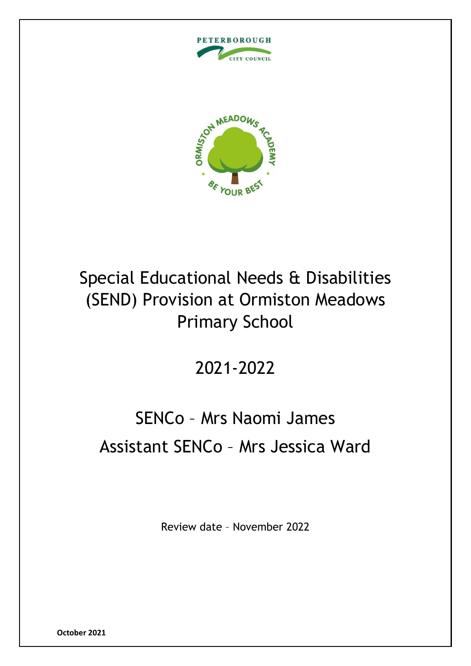



# Special Educational Needs & Disabilities (SEND) Provision at Ormiston Meadows Primary School

# 2021-2022

# SENCo – Mrs Naomi James Assistant SENCo – Mrs Jessica Ward

Review date – November 2022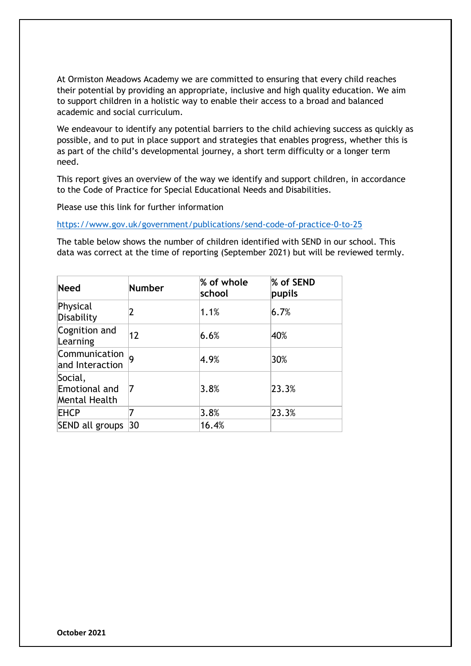At Ormiston Meadows Academy we are committed to ensuring that every child reaches their potential by providing an appropriate, inclusive and high quality education. We aim to support children in a holistic way to enable their access to a broad and balanced academic and social curriculum.

We endeavour to identify any potential barriers to the child achieving success as quickly as possible, and to put in place support and strategies that enables progress, whether this is as part of the child's developmental journey, a short term difficulty or a longer term need.

This report gives an overview of the way we identify and support children, in accordance to the Code of Practice for Special Educational Needs and Disabilities.

Please use this link for further information

<https://www.gov.uk/government/publications/send-code-of-practice-0-to-25>

The table below shows the number of children identified with SEND in our school. This data was correct at the time of reporting (September 2021) but will be reviewed termly.

| <b>Need</b>                               | <b>Number</b> | % of whole<br>school | % of SEND<br>pupils |
|-------------------------------------------|---------------|----------------------|---------------------|
| Physical<br>Disability                    | 2             | 1.1%                 | 6.7%                |
| Cognition and<br>Learning                 | 12            | 6.6%                 | 40%                 |
| Communication<br>and Interaction          |               | 4.9%                 | 30%                 |
| Social,<br>Emotional and<br>Mental Health | 7             | 3.8%                 | 23.3%               |
| EHCP                                      | 7             | 3.8%                 | 23.3%               |
| SEND all groups                           | 30            | 16.4%                |                     |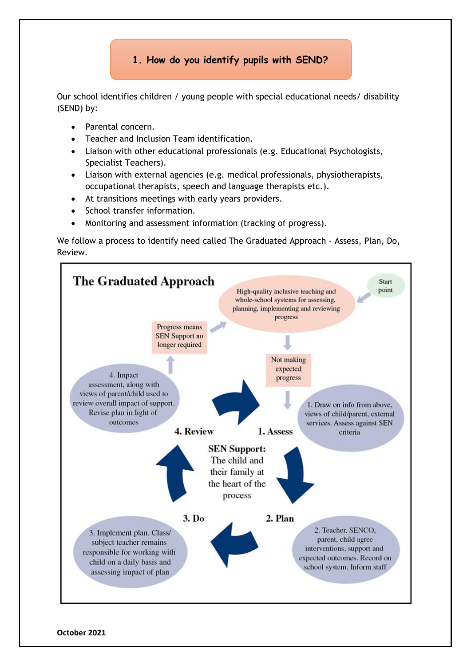# **1. How do you identify pupils with SEND?**

Our school identifies children / young people with special educational needs/ disability (SEND) by:

- Parental concern.
- Teacher and Inclusion Team identification.
- Liaison with other educational professionals (e.g. Educational Psychologists, Specialist Teachers).
- Liaison with external agencies (e.g. medical professionals, physiotherapists, occupational therapists, speech and language therapists etc.).
- At transitions meetings with early years providers.
- School transfer information.
- Monitoring and assessment information (tracking of progress).

We follow a process to identify need called The Graduated Approach - Assess, Plan, Do, Review.

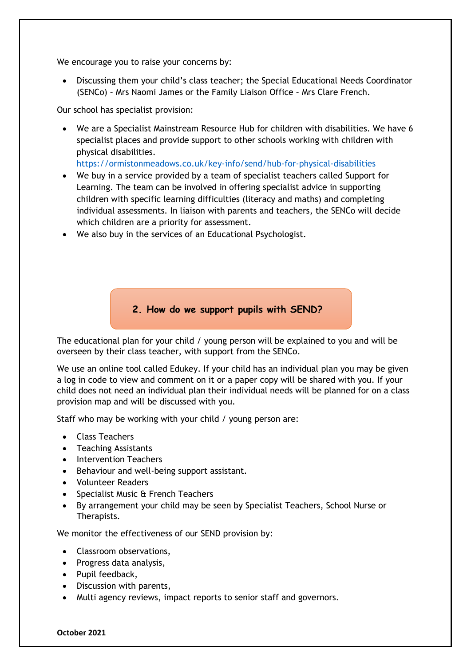We encourage you to raise your concerns by:

• Discussing them your child's class teacher; the Special Educational Needs Coordinator (SENCo) – Mrs Naomi James or the Family Liaison Office – Mrs Clare French.

Our school has specialist provision:

• We are a Specialist Mainstream Resource Hub for children with disabilities. We have 6 specialist places and provide support to other schools working with children with physical disabilities.

<https://ormistonmeadows.co.uk/key-info/send/hub-for-physical-disabilities>

- We buy in a service provided by a team of specialist teachers called Support for Learning. The team can be involved in offering specialist advice in supporting children with specific learning difficulties (literacy and maths) and completing individual assessments. In liaison with parents and teachers, the SENCo will decide which children are a priority for assessment.
- We also buy in the services of an Educational Psychologist.

### **2. How do we support pupils with SEND?**

The educational plan for your child / young person will be explained to you and will be overseen by their class teacher, with support from the SENCo.

We use an online tool called Edukey. If your child has an individual plan you may be given a log in code to view and comment on it or a paper copy will be shared with you. If your child does not need an individual plan their individual needs will be planned for on a class provision map and will be discussed with you.

Staff who may be working with your child / young person are:

- Class Teachers
- Teaching Assistants
- Intervention Teachers
- Behaviour and well-being support assistant.
- Volunteer Readers
- Specialist Music & French Teachers
- By arrangement your child may be seen by Specialist Teachers, School Nurse or Therapists.

We monitor the effectiveness of our SEND provision by:

- Classroom observations,
- Progress data analysis,
- Pupil feedback,
- Discussion with parents,
- Multi agency reviews, impact reports to senior staff and governors.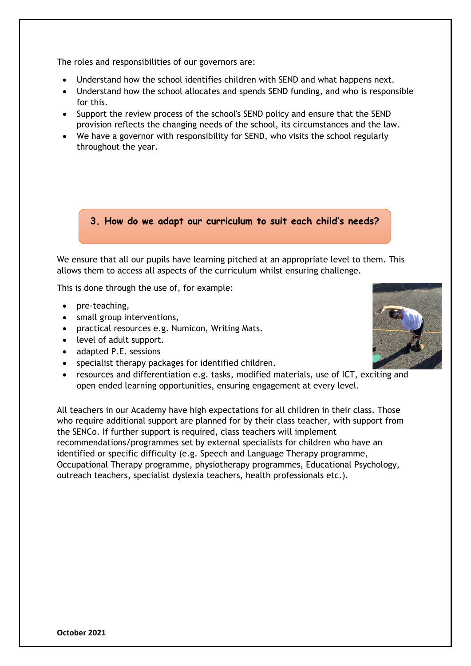The roles and responsibilities of our governors are:

- Understand how the school identifies children with SEND and what happens next.
- Understand how the school allocates and spends SEND funding, and who is responsible for this.
- Support the review process of the school's SEND policy and ensure that the SEND provision reflects the changing needs of the school, its circumstances and the law.
- We have a governor with responsibility for SEND, who visits the school regularly throughout the year.

#### **3. How do we adapt our curriculum to suit each child's needs?**

We ensure that all our pupils have learning pitched at an appropriate level to them. This allows them to access all aspects of the curriculum whilst ensuring challenge.

This is done through the use of, for example:

- pre-teaching,
- small group interventions,
- practical resources e.g. Numicon, Writing Mats.
- level of adult support.
- adapted P.E. sessions
- specialist therapy packages for identified children.
- resources and differentiation e.g. tasks, modified materials, use of ICT, exciting and open ended learning opportunities, ensuring engagement at every level.

All teachers in our Academy have high expectations for all children in their class. Those who require additional support are planned for by their class teacher, with support from the SENCo. If further support is required, class teachers will implement recommendations/programmes set by external specialists for children who have an identified or specific difficulty (e.g. Speech and Language Therapy programme, Occupational Therapy programme, physiotherapy programmes, Educational Psychology, outreach teachers, specialist dyslexia teachers, health professionals etc.).

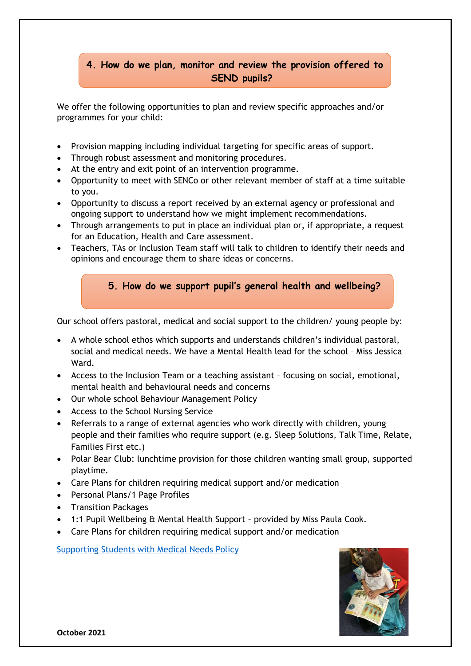# **4. How do we plan, monitor and review the provision offered to SEND pupils?**

We offer the following opportunities to plan and review specific approaches and/or programmes for your child:

- Provision mapping including individual targeting for specific areas of support.
- Through robust assessment and monitoring procedures.
- At the entry and exit point of an intervention programme.
- Opportunity to meet with SENCo or other relevant member of staff at a time suitable to you.
- Opportunity to discuss a report received by an external agency or professional and ongoing support to understand how we might implement recommendations.
- Through arrangements to put in place an individual plan or, if appropriate, a request for an Education, Health and Care assessment.
- Teachers, TAs or Inclusion Team staff will talk to children to identify their needs and opinions and encourage them to share ideas or concerns.

# **5. How do we support pupil's general health and wellbeing?**

Our school offers pastoral, medical and social support to the children/ young people by:

- A whole school ethos which supports and understands children's individual pastoral, social and medical needs. We have a Mental Health lead for the school – Miss Jessica Ward.
- Access to the Inclusion Team or a teaching assistant focusing on social, emotional, mental health and behavioural needs and concerns
- Our whole school Behaviour Management Policy
- Access to the School Nursing Service
- Referrals to a range of external agencies who work directly with children, young people and their families who require support (e.g. Sleep Solutions, Talk Time, Relate, Families First etc.)
- Polar Bear Club: lunchtime provision for those children wanting small group, supported playtime.
- Care Plans for children requiring medical support and/or medication
- Personal Plans/1 Page Profiles
- Transition Packages
- 1:1 Pupil Wellbeing & Mental Health Support provided by Miss Paula Cook.
- Care Plans for children requiring medical support and/or medication

[Supporting Students with Medical Needs Policy](http://www.ormistonmeadows.co.uk/wp-content/uploads/2020/09/Supporting-Students-With-Medical-Needs-Policy-Jul-2020.pdf)

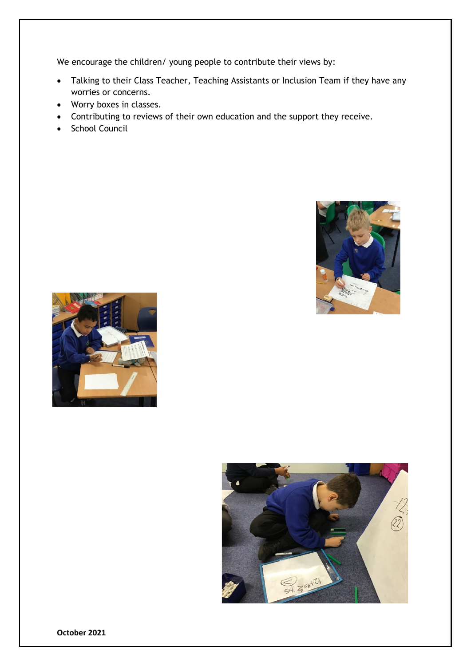We encourage the children/ young people to contribute their views by:

- Talking to their Class Teacher, Teaching Assistants or Inclusion Team if they have any worries or concerns.
- Worry boxes in classes.
- Contributing to reviews of their own education and the support they receive.
- School Council





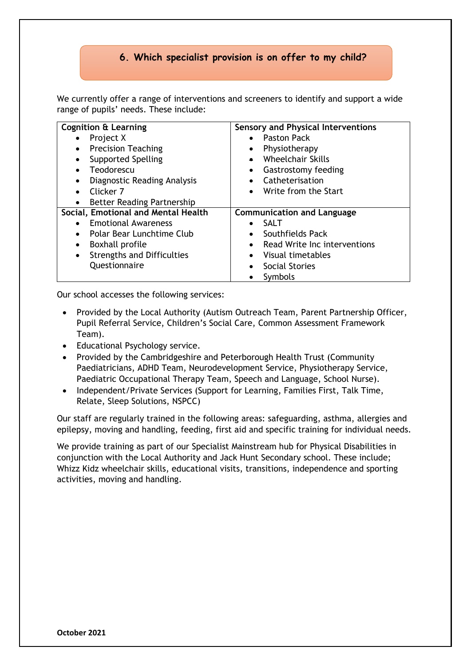## **6. Which specialist provision is on offer to my child?**

We currently offer a range of interventions and screeners to identify and support a wide range of pupils' needs. These include:

| <b>Cognition &amp; Learning</b>                | <b>Sensory and Physical Interventions</b> |  |
|------------------------------------------------|-------------------------------------------|--|
| Project X                                      | <b>Paston Pack</b><br>$\bullet$           |  |
| <b>Precision Teaching</b><br>$\bullet$         | Physiotherapy                             |  |
| <b>Supported Spelling</b>                      | Wheelchair Skills                         |  |
| Teodorescu                                     | Gastrostomy feeding                       |  |
| Diagnostic Reading Analysis                    | • Catheterisation                         |  |
| Clicker 7                                      | Write from the Start<br>$\bullet$         |  |
| <b>Better Reading Partnership</b><br>$\bullet$ |                                           |  |
| Social, Emotional and Mental Health            | <b>Communication and Language</b>         |  |
| <b>Emotional Awareness</b>                     | <b>SALT</b>                               |  |
| Polar Bear Lunchtime Club<br>$\bullet$         | Southfields Pack<br>$\bullet$             |  |
| <b>Boxhall profile</b>                         | Read Write Inc interventions              |  |
| <b>Strengths and Difficulties</b><br>$\bullet$ | Visual timetables<br>$\bullet$            |  |
| Questionnaire                                  | Social Stories                            |  |
|                                                | Symbols                                   |  |

Our school accesses the following services:

- Provided by the Local Authority (Autism Outreach Team, Parent Partnership Officer, Pupil Referral Service, Children's Social Care, Common Assessment Framework Team).
- Educational Psychology service.
- Provided by the Cambridgeshire and Peterborough Health Trust (Community Paediatricians, ADHD Team, Neurodevelopment Service, Physiotherapy Service, Paediatric Occupational Therapy Team, Speech and Language, School Nurse).
- Independent/Private Services (Support for Learning, Families First, Talk Time, Relate, Sleep Solutions, NSPCC)

Our staff are regularly trained in the following areas: safeguarding, asthma, allergies and epilepsy, moving and handling, feeding, first aid and specific training for individual needs.

We provide training as part of our Specialist Mainstream hub for Physical Disabilities in conjunction with the Local Authority and Jack Hunt Secondary school. These include; Whizz Kidz wheelchair skills, educational visits, transitions, independence and sporting activities, moving and handling.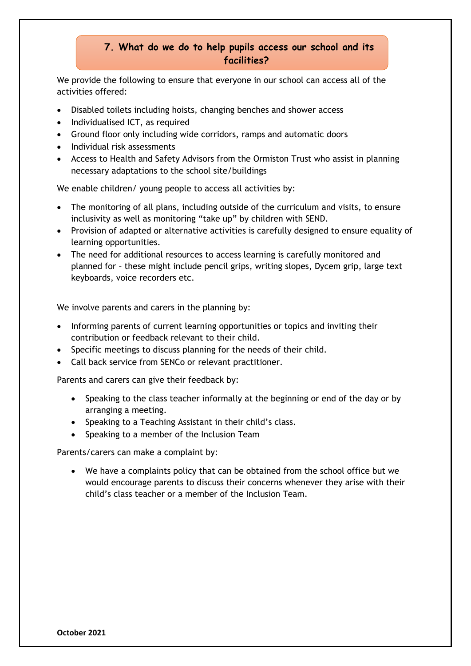## **7. What do we do to help pupils access our school and its facilities?**

We provide the following to ensure that everyone in our school can access all of the activities offered:

- Disabled toilets including hoists, changing benches and shower access
- Individualised ICT, as required
- Ground floor only including wide corridors, ramps and automatic doors
- Individual risk assessments
- Access to Health and Safety Advisors from the Ormiston Trust who assist in planning necessary adaptations to the school site/buildings

We enable children/ young people to access all activities by:

- The monitoring of all plans, including outside of the curriculum and visits, to ensure inclusivity as well as monitoring "take up" by children with SEND.
- Provision of adapted or alternative activities is carefully designed to ensure equality of learning opportunities.
- The need for additional resources to access learning is carefully monitored and planned for – these might include pencil grips, writing slopes, Dycem grip, large text keyboards, voice recorders etc.

We involve parents and carers in the planning by:

- Informing parents of current learning opportunities or topics and inviting their contribution or feedback relevant to their child.
- Specific meetings to discuss planning for the needs of their child.
- Call back service from SENCo or relevant practitioner.

Parents and carers can give their feedback by:

- Speaking to the class teacher informally at the beginning or end of the day or by arranging a meeting.
- Speaking to a Teaching Assistant in their child's class.
- Speaking to a member of the Inclusion Team

Parents/carers can make a complaint by:

• We have a complaints policy that can be obtained from the school office but we would encourage parents to discuss their concerns whenever they arise with their child's class teacher or a member of the Inclusion Team.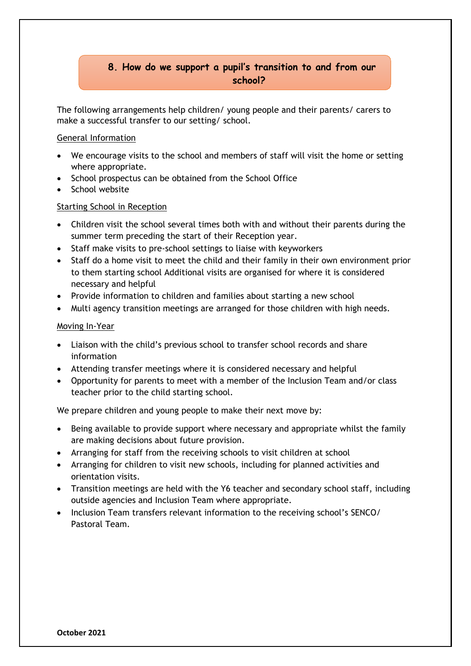# **8. How do we support a pupil's transition to and from our school?**

The following arrangements help children/ young people and their parents/ carers to make a successful transfer to our setting/ school.

#### General Information

- We encourage visits to the school and members of staff will visit the home or setting where appropriate.
- School prospectus can be obtained from the School Office
- School website

#### Starting School in Reception

- Children visit the school several times both with and without their parents during the summer term preceding the start of their Reception year.
- Staff make visits to pre-school settings to liaise with keyworkers
- Staff do a home visit to meet the child and their family in their own environment prior to them starting school Additional visits are organised for where it is considered necessary and helpful
- Provide information to children and families about starting a new school
- Multi agency transition meetings are arranged for those children with high needs.

#### Moving In-Year

- Liaison with the child's previous school to transfer school records and share information
- Attending transfer meetings where it is considered necessary and helpful
- Opportunity for parents to meet with a member of the Inclusion Team and/or class teacher prior to the child starting school.

We prepare children and young people to make their next move by:

- Being available to provide support where necessary and appropriate whilst the family are making decisions about future provision.
- Arranging for staff from the receiving schools to visit children at school
- Arranging for children to visit new schools, including for planned activities and orientation visits.
- Transition meetings are held with the Y6 teacher and secondary school staff, including outside agencies and Inclusion Team where appropriate.
- Inclusion Team transfers relevant information to the receiving school's SENCO/ Pastoral Team.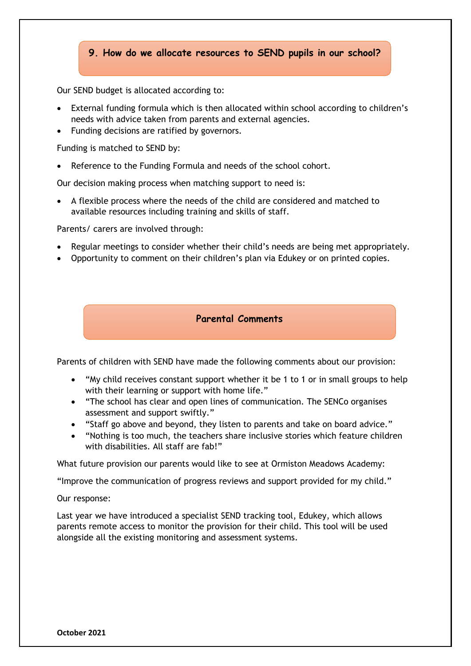#### **9. How do we allocate resources to SEND pupils in our school?**

Our SEND budget is allocated according to:

- External funding formula which is then allocated within school according to children's needs with advice taken from parents and external agencies.
- Funding decisions are ratified by governors.

Funding is matched to SEND by:

Reference to the Funding Formula and needs of the school cohort.

Our decision making process when matching support to need is:

• A flexible process where the needs of the child are considered and matched to available resources including training and skills of staff.

Parents/ carers are involved through:

- Regular meetings to consider whether their child's needs are being met appropriately.
- Opportunity to comment on their children's plan via Edukey or on printed copies.

#### **Parental Comments**

Parents of children with SEND have made the following comments about our provision:

- "My child receives constant support whether it be 1 to 1 or in small groups to help with their learning or support with home life."
- "The school has clear and open lines of communication. The SENCo organises assessment and support swiftly."
- "Staff go above and beyond, they listen to parents and take on board advice."
- "Nothing is too much, the teachers share inclusive stories which feature children with disabilities. All staff are fab!"

What future provision our parents would like to see at Ormiston Meadows Academy:

"Improve the communication of progress reviews and support provided for my child."

Our response:

Last year we have introduced a specialist SEND tracking tool, Edukey, which allows parents remote access to monitor the provision for their child. This tool will be used alongside all the existing monitoring and assessment systems.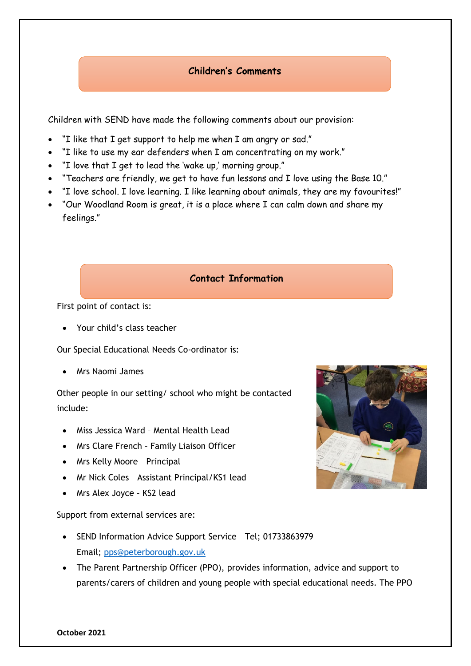# **Children's Comments**

Children with SEND have made the following comments about our provision:

- "I like that I get support to help me when I am angry or sad."
- "I like to use my ear defenders when I am concentrating on my work."
- "I love that I get to lead the 'wake up,' morning group."
- "Teachers are friendly, we get to have fun lessons and I love using the Base 10."
- "I love school. I love learning. I like learning about animals, they are my favourites!"
- "Our Woodland Room is great, it is a place where I can calm down and share my feelings."

#### **Contact Information**

First point of contact is:

• Your child's class teacher

Our Special Educational Needs Co-ordinator is:

• Mrs Naomi James

Other people in our setting/ school who might be contacted include:

- Miss Jessica Ward Mental Health Lead
- Mrs Clare French Family Liaison Officer
- Mrs Kelly Moore Principal
- Mr Nick Coles Assistant Principal/KS1 lead
- Mrs Alex Joyce KS2 lead

Support from external services are:

- SEND Information Advice Support Service Tel; 01733863979 Email; [pps@peterborough.gov.uk](mailto:pps@peterborough.gov.uk)
- The Parent Partnership Officer (PPO), provides information, advice and support to parents/carers of children and young people with special educational needs. The PPO